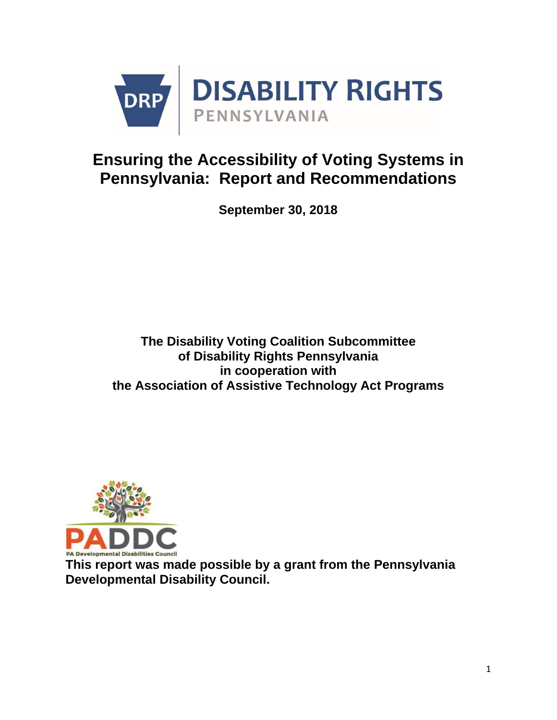

## **Ensuring the Accessibility of Voting Systems in Pennsylvania: Report and Recommendations**

**September 30, 2018**

**The Disability Voting Coalition Subcommittee of Disability Rights Pennsylvania in cooperation with the Association of Assistive Technology Act Programs**



**This report was made possible by a grant from the Pennsylvania Developmental Disability Council.**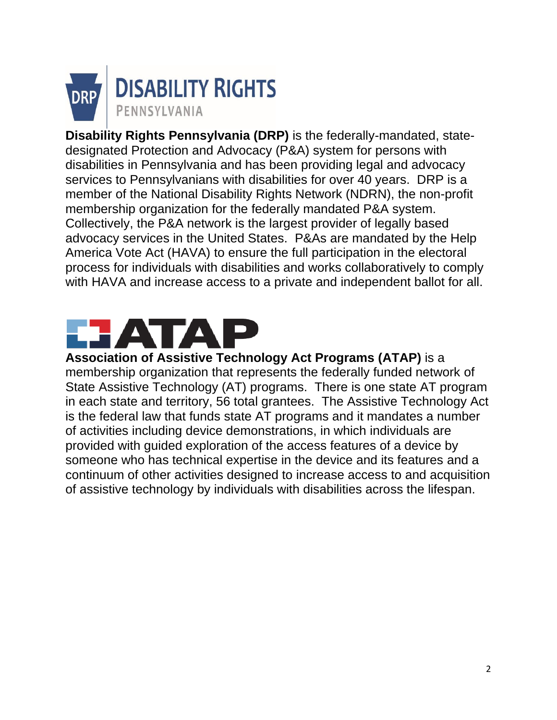

**Disability Rights Pennsylvania (DRP)** is the federally-mandated, statedesignated Protection and Advocacy (P&A) system for persons with disabilities in Pennsylvania and has been providing legal and advocacy services to Pennsylvanians with disabilities for over 40 years. DRP is a member of the National Disability Rights Network (NDRN), the non-profit membership organization for the federally mandated P&A system. Collectively, the P&A network is the largest provider of legally based advocacy services in the United States. P&As are mandated by the Help America Vote Act (HAVA) to ensure the full participation in the electoral process for individuals with disabilities and works collaboratively to comply with HAVA and increase access to a private and independent ballot for all.

# **TAL**

**Association of Assistive Technology Act Programs (ATAP)** is a membership organization that represents the federally funded network of State Assistive Technology (AT) programs. There is one state AT program in each state and territory, 56 total grantees. The Assistive Technology Act is the federal law that funds state AT programs and it mandates a number of activities including device demonstrations, in which individuals are provided with guided exploration of the access features of a device by someone who has technical expertise in the device and its features and a continuum of other activities designed to increase access to and acquisition of assistive technology by individuals with disabilities across the lifespan.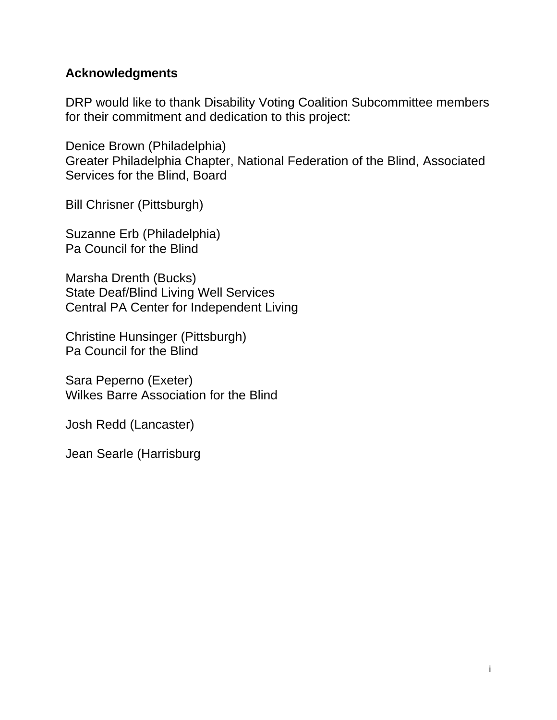## **Acknowledgments**

DRP would like to thank Disability Voting Coalition Subcommittee members for their commitment and dedication to this project:

Denice Brown (Philadelphia) Greater Philadelphia Chapter, National Federation of the Blind, Associated Services for the Blind, Board

Bill Chrisner (Pittsburgh)

Suzanne Erb (Philadelphia) Pa Council for the Blind

Marsha Drenth (Bucks) State Deaf/Blind Living Well Services Central PA Center for Independent Living

Christine Hunsinger (Pittsburgh) Pa Council for the Blind

Sara Peperno (Exeter) Wilkes Barre Association for the Blind

Josh Redd (Lancaster)

Jean Searle (Harrisburg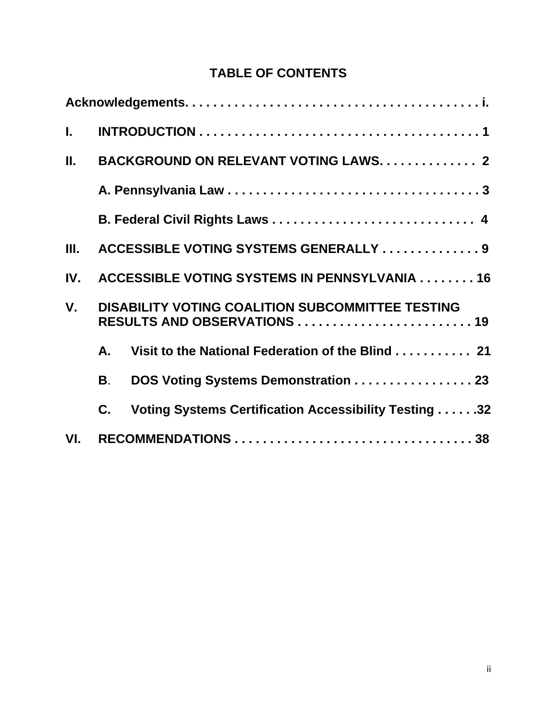## **TABLE OF CONTENTS**

| L.          |                                        |                                                                                         |  |
|-------------|----------------------------------------|-----------------------------------------------------------------------------------------|--|
| П.          | BACKGROUND ON RELEVANT VOTING LAWS. 2  |                                                                                         |  |
|             |                                        |                                                                                         |  |
|             |                                        |                                                                                         |  |
| Ш.          | ACCESSIBLE VOTING SYSTEMS GENERALLY  9 |                                                                                         |  |
| IV.         |                                        | ACCESSIBLE VOTING SYSTEMS IN PENNSYLVANIA 16                                            |  |
| $V_{\cdot}$ |                                        | <b>DISABILITY VOTING COALITION SUBCOMMITTEE TESTING</b><br>RESULTS AND OBSERVATIONS  19 |  |
|             | A.                                     | Visit to the National Federation of the Blind 21                                        |  |
|             | <b>B</b> .                             | DOS Voting Systems Demonstration 23                                                     |  |
|             | C.                                     | Voting Systems Certification Accessibility Testing 32                                   |  |
| VI.         |                                        |                                                                                         |  |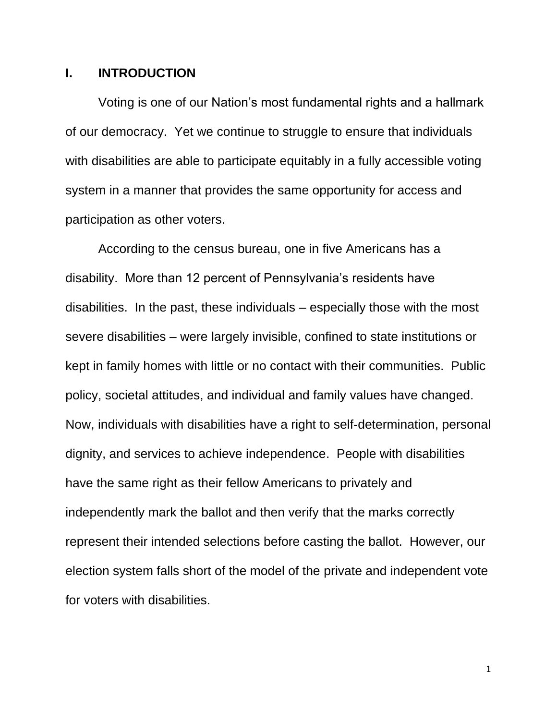#### **I. INTRODUCTION**

Voting is one of our Nation's most fundamental rights and a hallmark of our democracy. Yet we continue to struggle to ensure that individuals with disabilities are able to participate equitably in a fully accessible voting system in a manner that provides the same opportunity for access and participation as other voters.

According to the census bureau, one in five Americans has a disability. More than 12 percent of Pennsylvania's residents have disabilities. In the past, these individuals – especially those with the most severe disabilities – were largely invisible, confined to state institutions or kept in family homes with little or no contact with their communities. Public policy, societal attitudes, and individual and family values have changed. Now, individuals with disabilities have a right to self-determination, personal dignity, and services to achieve independence. People with disabilities have the same right as their fellow Americans to privately and independently mark the ballot and then verify that the marks correctly represent their intended selections before casting the ballot. However, our election system falls short of the model of the private and independent vote for voters with disabilities.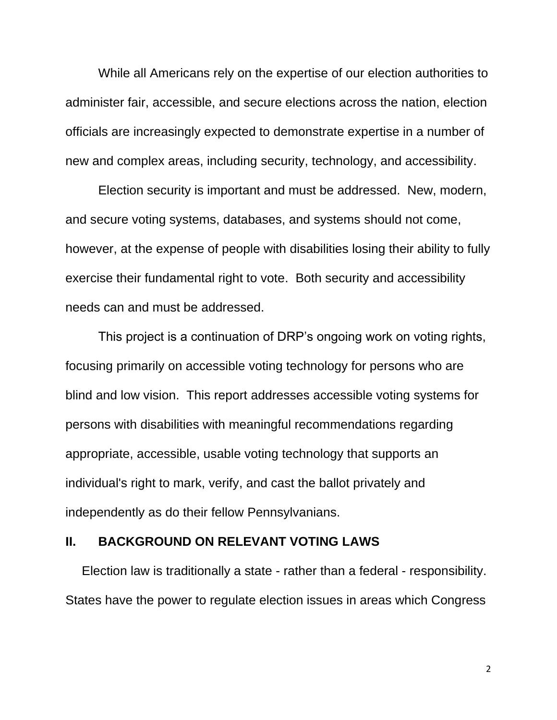While all Americans rely on the expertise of our election authorities to administer fair, accessible, and secure elections across the nation, election officials are increasingly expected to demonstrate expertise in a number of new and complex areas, including security, technology, and accessibility.

Election security is important and must be addressed. New, modern, and secure voting systems, databases, and systems should not come, however, at the expense of people with disabilities losing their ability to fully exercise their fundamental right to vote. Both security and accessibility needs can and must be addressed.

This project is a continuation of DRP's ongoing work on voting rights, focusing primarily on accessible voting technology for persons who are blind and low vision. This report addresses accessible voting systems for persons with disabilities with meaningful recommendations regarding appropriate, accessible, usable voting technology that supports an individual's right to mark, verify, and cast the ballot privately and independently as do their fellow Pennsylvanians.

#### **II. BACKGROUND ON RELEVANT VOTING LAWS**

Election law is traditionally a state - rather than a federal - responsibility. States have the power to regulate election issues in areas which Congress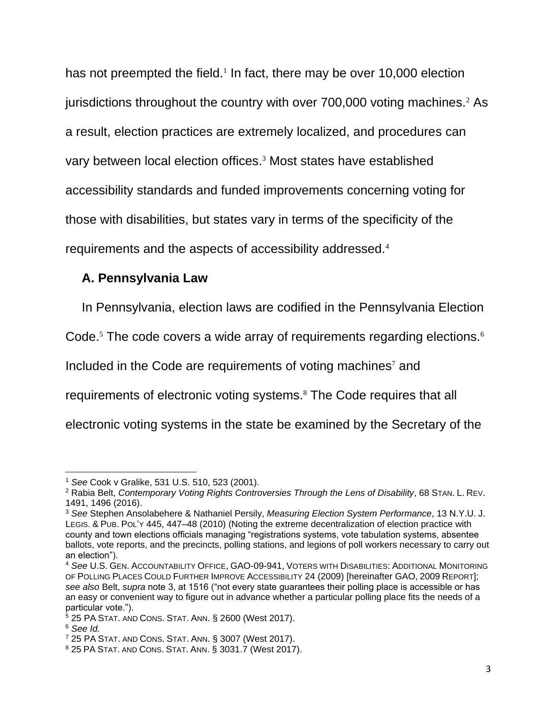has not preempted the field.<sup>1</sup> In fact, there may be over 10,000 election jurisdictions throughout the country with over 700,000 voting machines.<sup>2</sup> As a result, election practices are extremely localized, and procedures can vary between local election offices.<sup>3</sup> Most states have established accessibility standards and funded improvements concerning voting for those with disabilities, but states vary in terms of the specificity of the requirements and the aspects of accessibility addressed.<sup>4</sup>

## **A. Pennsylvania Law**

In Pennsylvania, election laws are codified in the Pennsylvania Election

Code.<sup>5</sup> The code covers a wide array of requirements regarding elections.<sup>6</sup>

Included in the Code are requirements of voting machines<sup>7</sup> and

requirements of electronic voting systems.<sup>8</sup> The Code requires that all

electronic voting systems in the state be examined by the Secretary of the

 $\overline{a}$ 

<sup>1</sup> *See* Cook v Gralike, 531 U.S. 510, 523 (2001).

<sup>2</sup> Rabia Belt, *Contemporary Voting Rights Controversies Through the Lens of Disability*, 68 STAN. L. REV. 1491, 1496 (2016).

<sup>3</sup> *See* Stephen Ansolabehere & Nathaniel Persily, *Measuring Election System Performance*, 13 N.Y.U. J. LEGIS. & PUB. POL'Y 445, 447–48 (2010) (Noting the extreme decentralization of election practice with county and town elections officials managing "registrations systems, vote tabulation systems, absentee ballots, vote reports, and the precincts, polling stations, and legions of poll workers necessary to carry out an election").

<sup>4</sup> *See* U.S. GEN. ACCOUNTABILITY OFFICE, GAO-09-941, VOTERS WITH DISABILITIES: ADDITIONAL MONITORING OF POLLING PLACES COULD FURTHER IMPROVE ACCESSIBILITY 24 (2009) [hereinafter GAO, 2009 REPORT]; *see also* Belt, *supra* note 3, at 1516 ("not every state guarantees their polling place is accessible or has an easy or convenient way to figure out in advance whether a particular polling place fits the needs of a particular vote.").

 $5$  25 PA STAT. AND CONS. STAT. ANN. § 2600 (West 2017).

<sup>6</sup> *See Id.*

<sup>7</sup> 25 PA STAT. AND CONS. STAT. ANN. § 3007 (West 2017).

<sup>8</sup> 25 PA STAT. AND CONS. STAT. ANN. § 3031.7 (West 2017).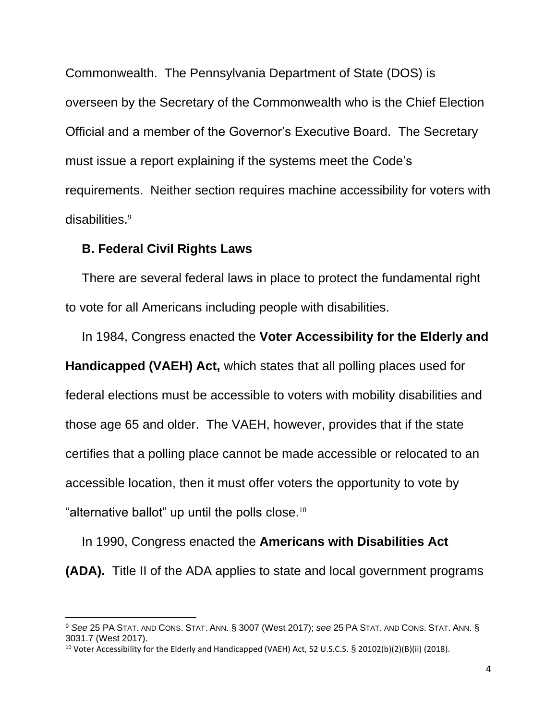Commonwealth. The Pennsylvania Department of State (DOS) is overseen by the Secretary of the Commonwealth who is the Chief Election Official and a member of the Governor's Executive Board. The Secretary must issue a report explaining if the systems meet the Code's requirements. Neither section requires machine accessibility for voters with disabilities.<sup>9</sup>

#### **B. Federal Civil Rights Laws**

 $\overline{a}$ 

There are several federal laws in place to protect the fundamental right to vote for all Americans including people with disabilities.

In 1984, Congress enacted the **Voter Accessibility for the Elderly and Handicapped (VAEH) Act,** which states that all polling places used for federal elections must be accessible to voters with mobility disabilities and those age 65 and older. The VAEH, however, provides that if the state certifies that a polling place cannot be made accessible or relocated to an accessible location, then it must offer voters the opportunity to vote by "alternative ballot" up until the polls close.<sup>10</sup>

In 1990, Congress enacted the **Americans with Disabilities Act (ADA).** Title II of the ADA applies to state and local government programs

<sup>9</sup> *See* 25 PA STAT. AND CONS. STAT. ANN. § 3007 (West 2017); *see* 25 PA STAT. AND CONS. STAT. ANN. § 3031.7 (West 2017).

<sup>&</sup>lt;sup>10</sup> Voter Accessibility for the Elderly and Handicapped (VAEH) Act, 52 U.S.C.S. § 20102(b)(2)(B)(ii) (2018).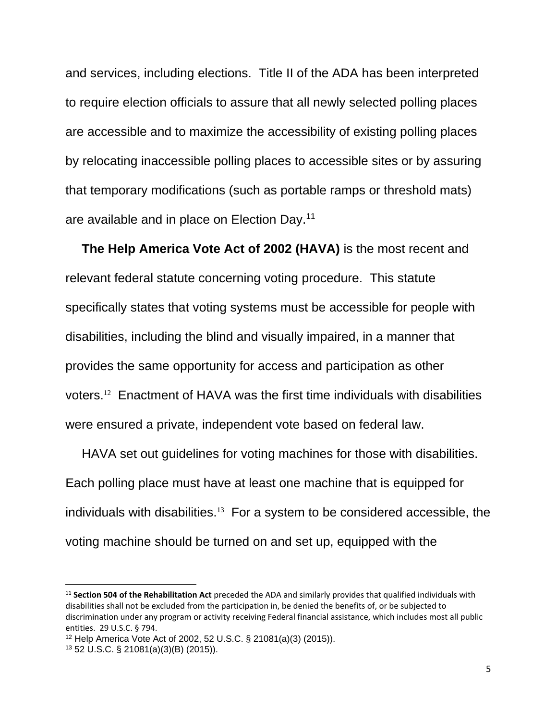and services, including elections. Title II of the ADA has been interpreted to require election officials to assure that all newly selected polling places are accessible and to maximize the accessibility of existing polling places by relocating inaccessible polling places to accessible sites or by assuring that temporary modifications (such as portable ramps or threshold mats) are available and in place on Election Day.<sup>11</sup>

**The Help America Vote Act of 2002 (HAVA)** is the most recent and relevant federal statute concerning voting procedure. This statute specifically states that voting systems must be accessible for people with disabilities, including the blind and visually impaired, in a manner that provides the same opportunity for access and participation as other voters.<sup>12</sup> Enactment of HAVA was the first time individuals with disabilities were ensured a private, independent vote based on federal law.

HAVA set out guidelines for voting machines for those with disabilities. Each polling place must have at least one machine that is equipped for individuals with disabilities.<sup>13</sup> For a system to be considered accessible, the voting machine should be turned on and set up, equipped with the

 $\overline{a}$ 

<sup>11</sup> **Section 504 of the Rehabilitation Act** preceded the ADA and similarly provides that qualified individuals with disabilities shall not be excluded from the participation in, be denied the benefits of, or be subjected to discrimination under any program or activity receiving Federal financial assistance, which includes most all public entities. 29 U.S.C. § 794.

<sup>12</sup> Help America Vote Act of 2002, 52 U.S.C. § 21081(a)(3) (2015)).

<sup>13</sup> 52 U.S.C. § 21081(a)(3)(B) (2015)).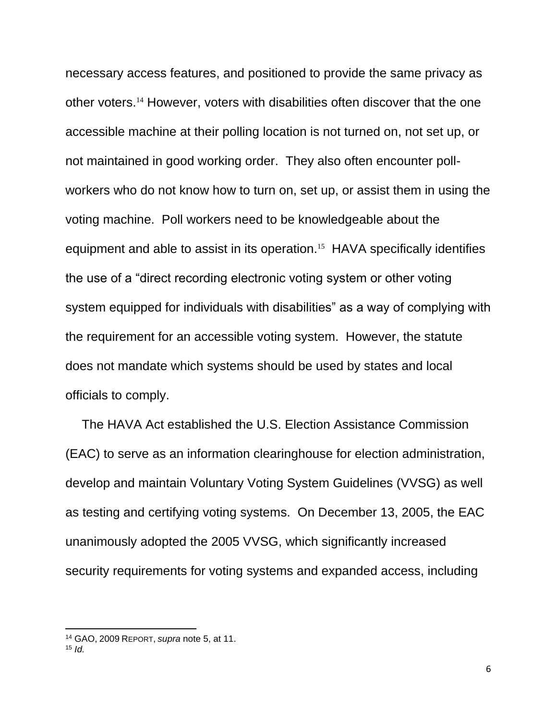necessary access features, and positioned to provide the same privacy as other voters.<sup>14</sup> However, voters with disabilities often discover that the one accessible machine at their polling location is not turned on, not set up, or not maintained in good working order. They also often encounter pollworkers who do not know how to turn on, set up, or assist them in using the voting machine. Poll workers need to be knowledgeable about the equipment and able to assist in its operation.<sup>15</sup> HAVA specifically identifies the use of a "direct recording electronic voting system or other voting system equipped for individuals with disabilities" as a way of complying with the requirement for an accessible voting system. However, the statute does not mandate which systems should be used by states and local officials to comply.

The HAVA Act established the U.S. Election Assistance Commission (EAC) to serve as an information clearinghouse for election administration, develop and maintain Voluntary Voting System Guidelines (VVSG) as well as testing and certifying voting systems. On December 13, 2005, the EAC unanimously adopted the 2005 VVSG, which significantly increased security requirements for voting systems and expanded access, including

 $\overline{a}$ 

<sup>14</sup> GAO, 2009 REPORT, *supra* note 5, at 11.

<sup>15</sup> *Id.*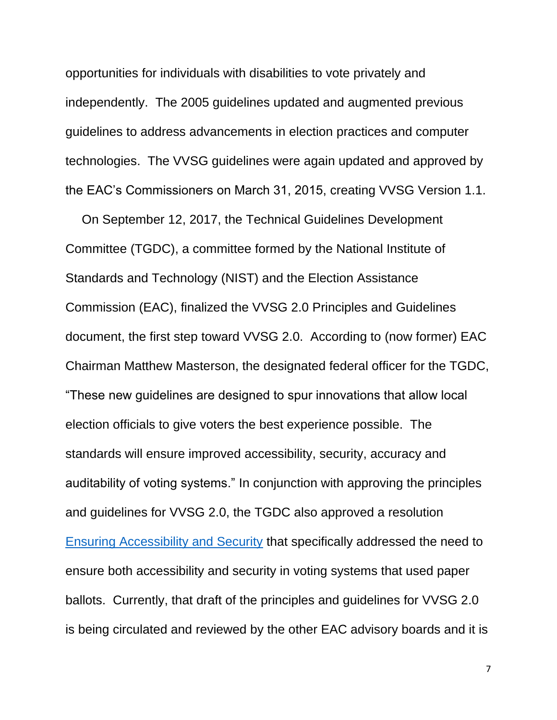opportunities for individuals with disabilities to vote privately and independently. The 2005 guidelines updated and augmented previous guidelines to address advancements in election practices and computer technologies. The VVSG guidelines were again updated and approved by the EAC's Commissioners on March 31, 2015, creating VVSG Version 1.1.

On September 12, 2017, the Technical Guidelines Development Committee (TGDC), a committee formed by the National Institute of Standards and Technology (NIST) and the Election Assistance Commission (EAC), finalized the VVSG 2.0 Principles and Guidelines document, the first step toward VVSG 2.0. According to (now former) EAC Chairman Matthew Masterson, the designated federal officer for the TGDC, "These new guidelines are designed to spur innovations that allow local election officials to give voters the best experience possible. The standards will ensure improved accessibility, security, accuracy and auditability of voting systems." In conjunction with approving the principles and guidelines for VVSG 2.0, the TGDC also approved a resolution [Ensuring Accessibility and Security](https://www.eac.gov/documents/2017/09/15/resolution---ensuring-accessibility-and-security/) that specifically addressed the need to ensure both accessibility and security in voting systems that used paper ballots. Currently, that draft of the principles and guidelines for VVSG 2.0 is being circulated and reviewed by the other EAC advisory boards and it is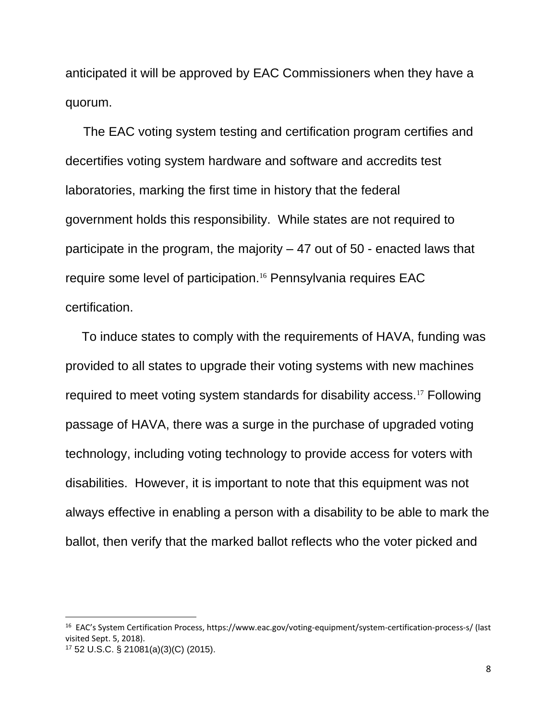anticipated it will be approved by EAC Commissioners when they have a quorum.

 The EAC voting system testing and certification program certifies and decertifies voting system hardware and software and accredits test laboratories, marking the first time in history that the federal government holds this responsibility. While states are not required to participate in the program, the majority – 47 out of 50 - enacted laws that require some level of participation.<sup>16</sup> Pennsylvania requires EAC certification.

To induce states to comply with the requirements of HAVA, funding was provided to all states to upgrade their voting systems with new machines required to meet voting system standards for disability access.<sup>17</sup> Following passage of HAVA, there was a surge in the purchase of upgraded voting technology, including voting technology to provide access for voters with disabilities. However, it is important to note that this equipment was not always effective in enabling a person with a disability to be able to mark the ballot, then verify that the marked ballot reflects who the voter picked and

 $\overline{a}$ 

<sup>&</sup>lt;sup>16</sup> EAC's System Certification Process, https://www.eac.gov/voting-equipment/system-certification-process-s/ (last visited Sept. 5, 2018).

<sup>17</sup> 52 U.S.C. § 21081(a)(3)(C) (2015).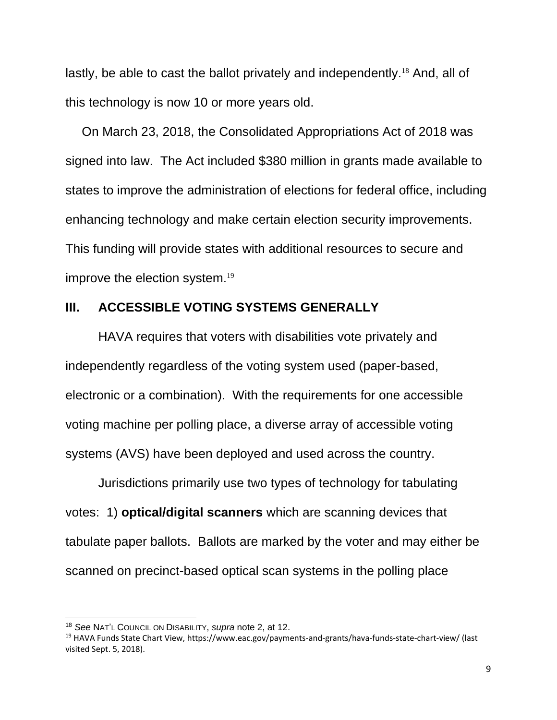lastly, be able to cast the ballot privately and independently.<sup>18</sup> And, all of this technology is now 10 or more years old.

On March 23, 2018, the Consolidated Appropriations Act of 2018 was signed into law. The Act included \$380 million in grants made available to states to improve the administration of elections for federal office, including enhancing technology and make certain election security improvements. This funding will provide states with additional resources to secure and improve the election system.<sup>19</sup>

#### **III. ACCESSIBLE VOTING SYSTEMS GENERALLY**

HAVA requires that voters with disabilities vote privately and independently regardless of the voting system used (paper-based, electronic or a combination). With the requirements for one accessible voting machine per polling place, a diverse array of accessible voting systems (AVS) have been deployed and used across the country.

Jurisdictions primarily use two types of technology for tabulating votes: 1) **optical/digital scanners** which are scanning devices that tabulate paper ballots. Ballots are marked by the voter and may either be scanned on precinct-based optical scan systems in the polling place

 $\overline{a}$ 

<sup>18</sup> *See* NAT'L COUNCIL ON DISABILITY, *supra* note 2, at 12.

<sup>19</sup> HAVA Funds State Chart View, https://www.eac.gov/payments-and-grants/hava-funds-state-chart-view/ (last visited Sept. 5, 2018).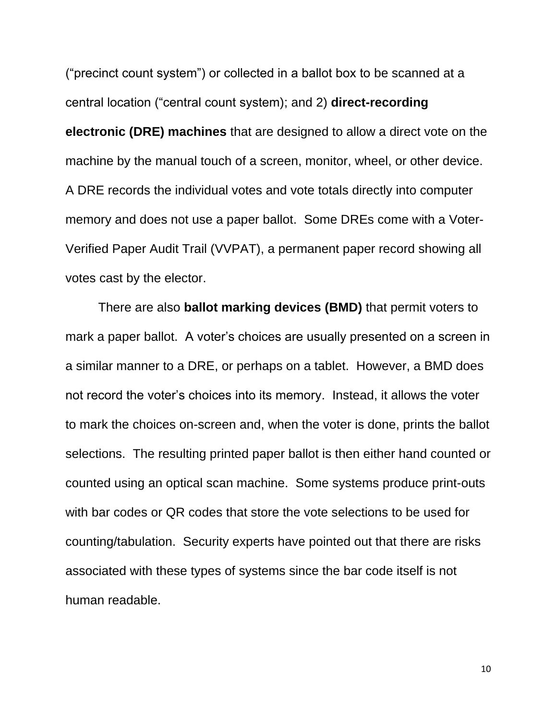("precinct count system") or collected in a ballot box to be scanned at a central location ("central count system); and 2) **direct-recording electronic (DRE) machines** that are designed to allow a direct vote on the machine by the manual touch of a screen, monitor, wheel, or other device. A DRE records the individual votes and vote totals directly into computer memory and does not use a paper ballot. Some DREs come with a Voter-Verified Paper Audit Trail (VVPAT), a permanent paper record showing all votes cast by the elector.

There are also **ballot marking devices (BMD)** that permit voters to mark a paper ballot. A voter's choices are usually presented on a screen in a similar manner to a DRE, or perhaps on a tablet. However, a BMD does not record the voter's choices into its memory. Instead, it allows the voter to mark the choices on-screen and, when the voter is done, prints the ballot selections. The resulting printed paper ballot is then either hand counted or counted using an optical scan machine. Some systems produce print-outs with bar codes or QR codes that store the vote selections to be used for counting/tabulation. [Security experts have pointed out that there are risks](https://medium.com/@jennycohn1/what-is-the-latest-threat-to-democracy-ballot-marking-devices-a-k-a-electronic-pencils-16bb44917edd)  [associated](https://medium.com/@jennycohn1/what-is-the-latest-threat-to-democracy-ballot-marking-devices-a-k-a-electronic-pencils-16bb44917edd) with these types of systems since the bar code itself is not human readable.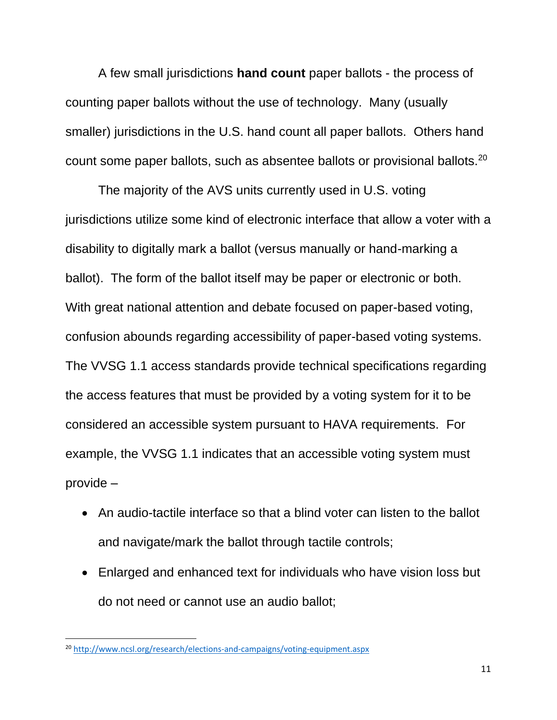A few small jurisdictions **hand count** paper ballots - the process of counting paper ballots without the use of technology. Many (usually smaller) jurisdictions in the U.S. hand count all paper ballots. Others hand count some paper ballots, such as absentee ballots or provisional ballots.<sup>20</sup>

The majority of the AVS units currently used in U.S. voting jurisdictions utilize some kind of electronic interface that allow a voter with a disability to digitally mark a ballot (versus manually or hand-marking a ballot). The form of the ballot itself may be paper or electronic or both. With great national attention and debate focused on paper-based voting, confusion abounds regarding accessibility of paper-based voting systems. The VVSG 1.1 access standards provide technical specifications regarding the access features that must be provided by a voting system for it to be considered an accessible system pursuant to HAVA requirements. For example, the VVSG 1.1 indicates that an accessible voting system must provide –

- An audio-tactile interface so that a blind voter can listen to the ballot and navigate/mark the ballot through tactile controls;
- Enlarged and enhanced text for individuals who have vision loss but do not need or cannot use an audio ballot;

 $\overline{a}$ 

<sup>20</sup> <http://www.ncsl.org/research/elections-and-campaigns/voting-equipment.aspx>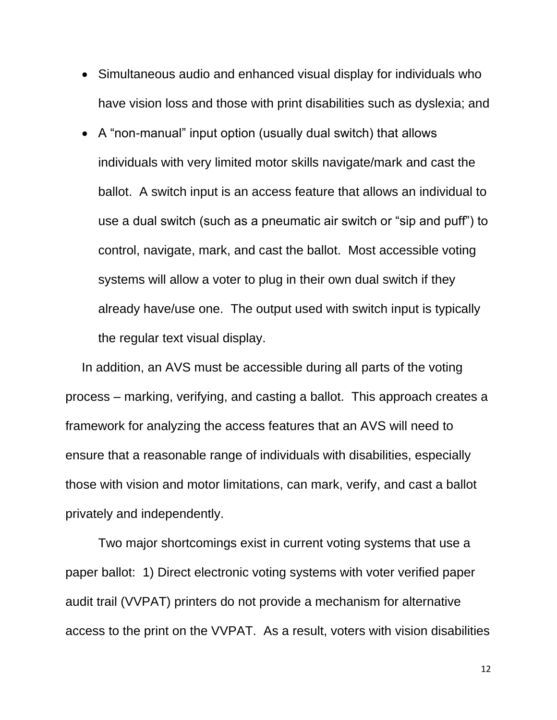- Simultaneous audio and enhanced visual display for individuals who have vision loss and those with print disabilities such as dyslexia; and
- A "non-manual" input option (usually dual switch) that allows individuals with very limited motor skills navigate/mark and cast the ballot. A switch input is an access feature that allows an individual to use a dual switch (such as a pneumatic air switch or "sip and puff") to control, navigate, mark, and cast the ballot. Most accessible voting systems will allow a voter to plug in their own dual switch if they already have/use one. The output used with switch input is typically the regular text visual display.

In addition, an AVS must be accessible during all parts of the voting process – marking, verifying, and casting a ballot. This approach creates a framework for analyzing the access features that an AVS will need to ensure that a reasonable range of individuals with disabilities, especially those with vision and motor limitations, can mark, verify, and cast a ballot privately and independently.

Two major shortcomings exist in current voting systems that use a paper ballot: 1) Direct electronic voting systems with voter verified paper audit trail (VVPAT) printers do not provide a mechanism for alternative access to the print on the VVPAT. As a result, voters with vision disabilities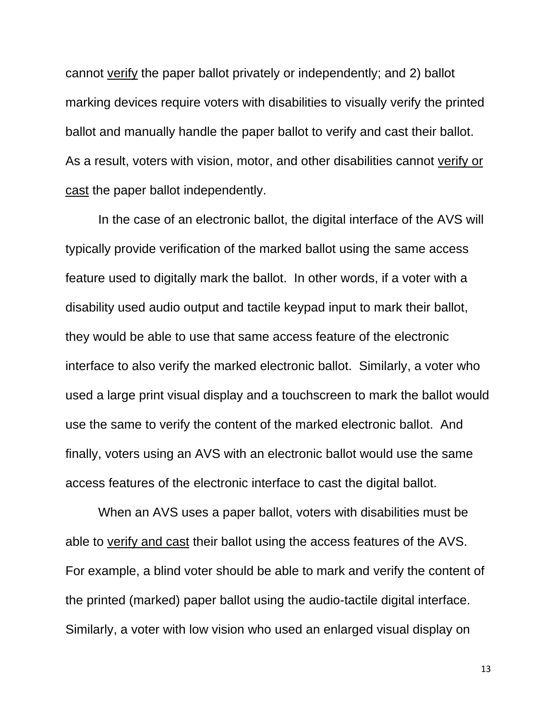cannot verify the paper ballot privately or independently; and 2) ballot marking devices require voters with disabilities to visually verify the printed ballot and manually handle the paper ballot to verify and cast their ballot. As a result, voters with vision, motor, and other disabilities cannot verify or cast the paper ballot independently.

In the case of an electronic ballot, the digital interface of the AVS will typically provide verification of the marked ballot using the same access feature used to digitally mark the ballot. In other words, if a voter with a disability used audio output and tactile keypad input to mark their ballot, they would be able to use that same access feature of the electronic interface to also verify the marked electronic ballot. Similarly, a voter who used a large print visual display and a touchscreen to mark the ballot would use the same to verify the content of the marked electronic ballot. And finally, voters using an AVS with an electronic ballot would use the same access features of the electronic interface to cast the digital ballot.

When an AVS uses a paper ballot, voters with disabilities must be able to verify and cast their ballot using the access features of the AVS. For example, a blind voter should be able to mark and verify the content of the printed (marked) paper ballot using the audio-tactile digital interface. Similarly, a voter with low vision who used an enlarged visual display on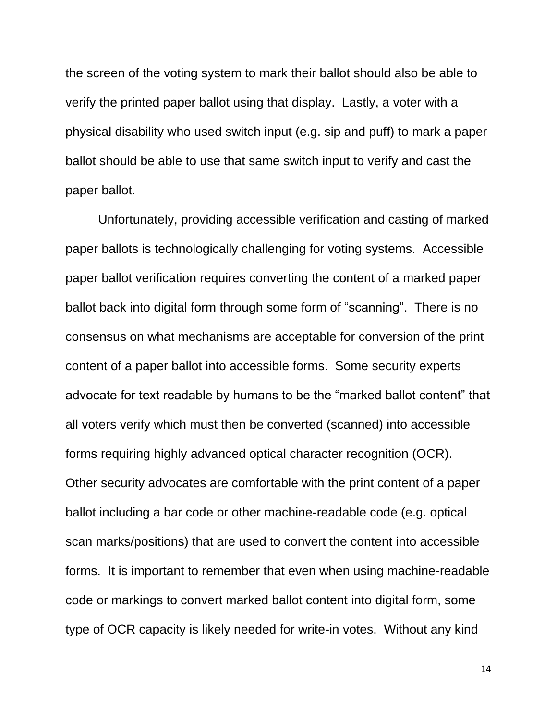the screen of the voting system to mark their ballot should also be able to verify the printed paper ballot using that display. Lastly, a voter with a physical disability who used switch input (e.g. sip and puff) to mark a paper ballot should be able to use that same switch input to verify and cast the paper ballot.

Unfortunately, providing accessible verification and casting of marked paper ballots is technologically challenging for voting systems. Accessible paper ballot verification requires converting the content of a marked paper ballot back into digital form through some form of "scanning". There is no consensus on what mechanisms are acceptable for conversion of the print content of a paper ballot into accessible forms. Some security experts advocate for text readable by humans to be the "marked ballot content" that all voters verify which must then be converted (scanned) into accessible forms requiring highly advanced optical character recognition (OCR). Other security advocates are comfortable with the print content of a paper ballot including a bar code or other machine-readable code (e.g. optical scan marks/positions) that are used to convert the content into accessible forms. It is important to remember that even when using machine-readable code or markings to convert marked ballot content into digital form, some type of OCR capacity is likely needed for write-in votes. Without any kind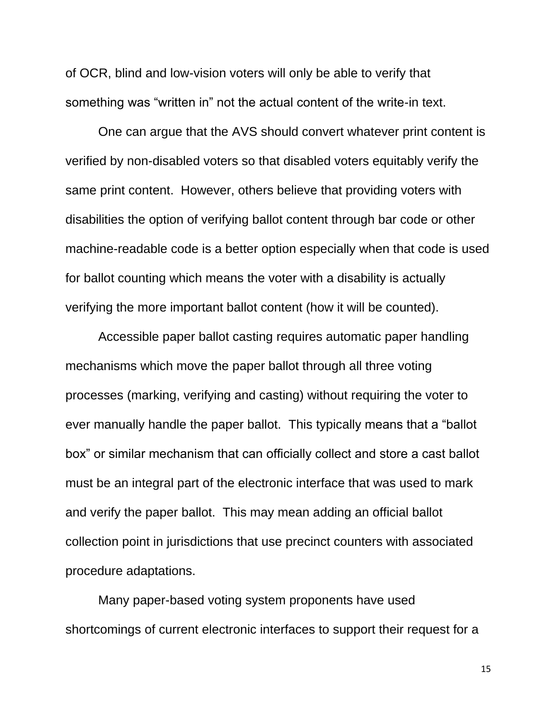of OCR, blind and low-vision voters will only be able to verify that something was "written in" not the actual content of the write-in text.

One can argue that the AVS should convert whatever print content is verified by non-disabled voters so that disabled voters equitably verify the same print content. However, others believe that providing voters with disabilities the option of verifying ballot content through bar code or other machine-readable code is a better option especially when that code is used for ballot counting which means the voter with a disability is actually verifying the more important ballot content (how it will be counted).

Accessible paper ballot casting requires automatic paper handling mechanisms which move the paper ballot through all three voting processes (marking, verifying and casting) without requiring the voter to ever manually handle the paper ballot. This typically means that a "ballot box" or similar mechanism that can officially collect and store a cast ballot must be an integral part of the electronic interface that was used to mark and verify the paper ballot. This may mean adding an official ballot collection point in jurisdictions that use precinct counters with associated procedure adaptations.

Many paper-based voting system proponents have used shortcomings of current electronic interfaces to support their request for a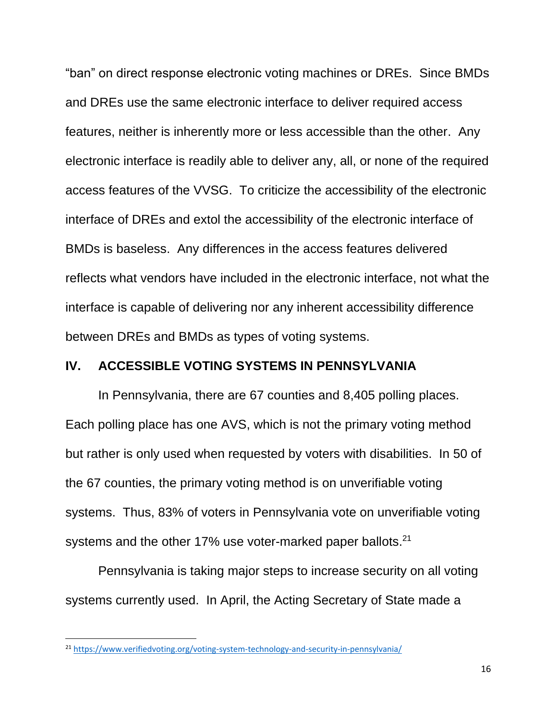"ban" on direct response electronic voting machines or DREs. Since BMDs and DREs use the same electronic interface to deliver required access features, neither is inherently more or less accessible than the other. Any electronic interface is readily able to deliver any, all, or none of the required access features of the VVSG. To criticize the accessibility of the electronic interface of DREs and extol the accessibility of the electronic interface of BMDs is baseless. Any differences in the access features delivered reflects what vendors have included in the electronic interface, not what the interface is capable of delivering nor any inherent accessibility difference between DREs and BMDs as types of voting systems.

#### **IV. ACCESSIBLE VOTING SYSTEMS IN PENNSYLVANIA**

In Pennsylvania, there are 67 counties and 8,405 polling places. Each polling place has one AVS, which is not the primary voting method but rather is only used when requested by voters with disabilities. In 50 of the 67 counties, the primary voting method is on unverifiable voting systems. Thus, 83% of voters in Pennsylvania vote on unverifiable voting systems and the other 17% use voter-marked paper ballots.<sup>21</sup>

Pennsylvania is taking major steps to increase security on all voting systems currently used. In April, the Acting Secretary of State made a

 $\overline{a}$ 

<sup>&</sup>lt;sup>21</sup> <https://www.verifiedvoting.org/voting-system-technology-and-security-in-pennsylvania/>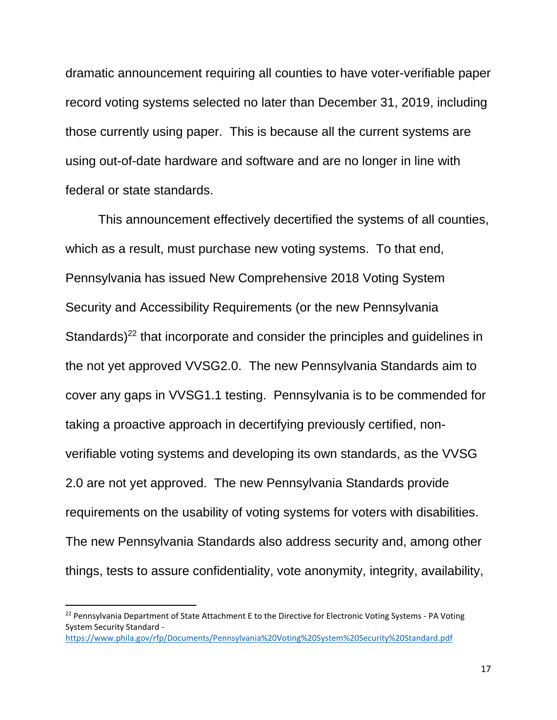dramatic announcement requiring all counties to have voter-verifiable paper record voting systems selected no later than December 31, 2019, including those currently using paper. This is because all the current systems are using out-of-date hardware and software and are no longer in line with federal or state standards.

This announcement effectively decertified the systems of all counties, which as a result, must purchase new voting systems. To that end, Pennsylvania has issued New Comprehensive 2018 Voting System Security and Accessibility Requirements (or the new Pennsylvania Standards)<sup>22</sup> that incorporate and consider the principles and guidelines in the not yet approved VVSG2.0. The new Pennsylvania Standards aim to cover any gaps in VVSG1.1 testing. Pennsylvania is to be commended for taking a proactive approach in decertifying previously certified, nonverifiable voting systems and developing its own standards, as the VVSG 2.0 are not yet approved. The new Pennsylvania Standards provide requirements on the usability of voting systems for voters with disabilities. The new Pennsylvania Standards also address security and, among other things, tests to assure confidentiality, vote anonymity, integrity, availability,

 $\overline{a}$ 

<sup>&</sup>lt;sup>22</sup> Pennsylvania Department of State Attachment E to the Directive for Electronic Voting Systems - PA Voting System Security Standard <https://www.phila.gov/rfp/Documents/Pennsylvania%20Voting%20System%20Security%20Standard.pdf>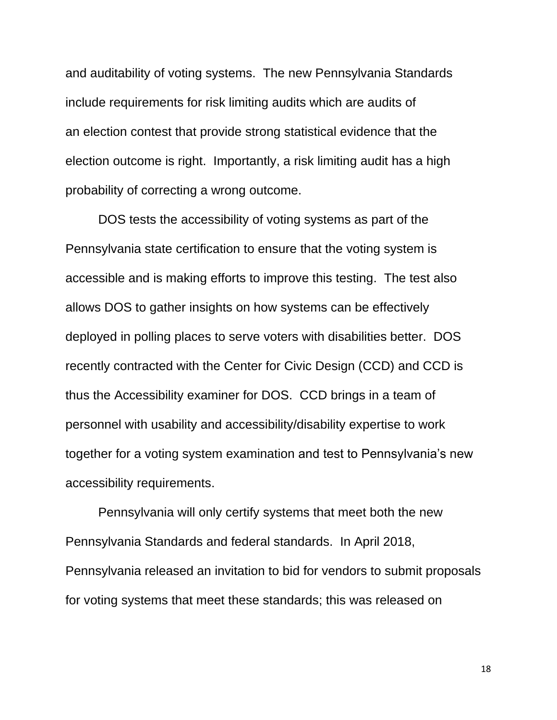and auditability of voting systems. The new Pennsylvania Standards include requirements for risk limiting audits which are audits of an election contest that provide strong statistical evidence that the election outcome is right. Importantly, a risk limiting audit has a high probability of correcting a wrong outcome.

DOS tests the accessibility of voting systems as part of the Pennsylvania state certification to ensure that the voting system is accessible and is making efforts to improve this testing. The test also allows DOS to gather insights on how systems can be effectively deployed in polling places to serve voters with disabilities better. DOS recently contracted with the Center for Civic Design (CCD) and CCD is thus the Accessibility examiner for DOS. CCD brings in a team of personnel with usability and accessibility/disability expertise to work together for a voting system examination and test to Pennsylvania's new accessibility requirements.

Pennsylvania will only certify systems that meet both the new Pennsylvania Standards and federal standards. In April 2018, Pennsylvania released an invitation to bid for vendors to submit proposals for voting systems that meet these standards; this was released on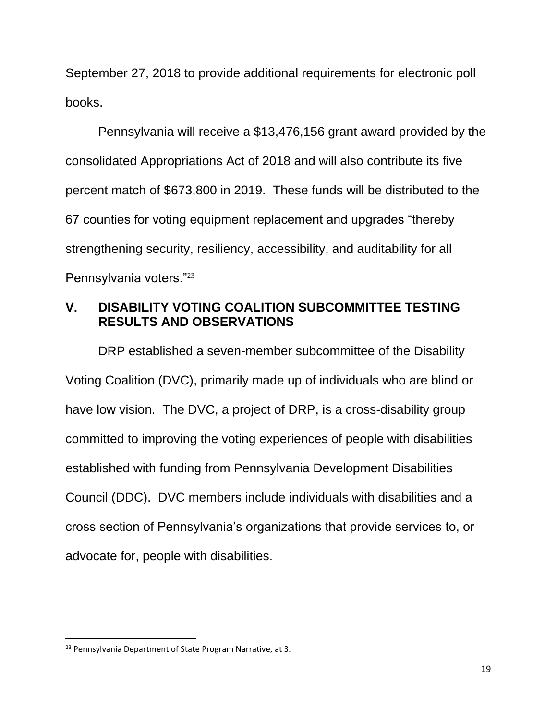September 27, 2018 to provide additional requirements for electronic poll books.

Pennsylvania will receive a \$13,476,156 grant award provided by the consolidated Appropriations Act of 2018 and will also contribute its five percent match of \$673,800 in 2019. These funds will be distributed to the 67 counties for voting equipment replacement and upgrades "thereby strengthening security, resiliency, accessibility, and auditability for all Pennsylvania voters."<sup>23</sup>

## **V. DISABILITY VOTING COALITION SUBCOMMITTEE TESTING RESULTS AND OBSERVATIONS**

DRP established a seven-member subcommittee of the Disability Voting Coalition (DVC), primarily made up of individuals who are blind or have low vision. The DVC, a project of DRP, is a cross-disability group committed to improving the voting experiences of people with disabilities established with funding from Pennsylvania Development Disabilities Council (DDC). DVC members include individuals with disabilities and a cross section of Pennsylvania's organizations that provide services to, or advocate for, people with disabilities.

 $\overline{a}$ 

<sup>&</sup>lt;sup>23</sup> Pennsylvania Department of State Program Narrative, at 3.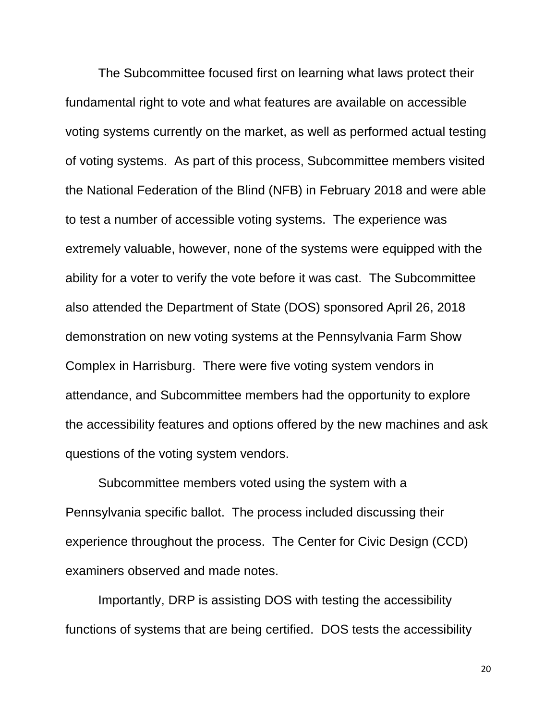The Subcommittee focused first on learning what laws protect their fundamental right to vote and what features are available on accessible voting systems currently on the market, as well as performed actual testing of voting systems. As part of this process, Subcommittee members visited the National Federation of the Blind (NFB) in February 2018 and were able to test a number of accessible voting systems. The experience was extremely valuable, however, none of the systems were equipped with the ability for a voter to verify the vote before it was cast. The Subcommittee also attended the Department of State (DOS) sponsored April 26, 2018 demonstration on new voting systems at the Pennsylvania Farm Show Complex in Harrisburg. There were five voting system vendors in attendance, and Subcommittee members had the opportunity to explore the accessibility features and options offered by the new machines and ask questions of the voting system vendors.

Subcommittee members voted using the system with a Pennsylvania specific ballot. The process included discussing their experience throughout the process. The Center for Civic Design (CCD) examiners observed and made notes.

Importantly, DRP is assisting DOS with testing the accessibility functions of systems that are being certified. DOS tests the accessibility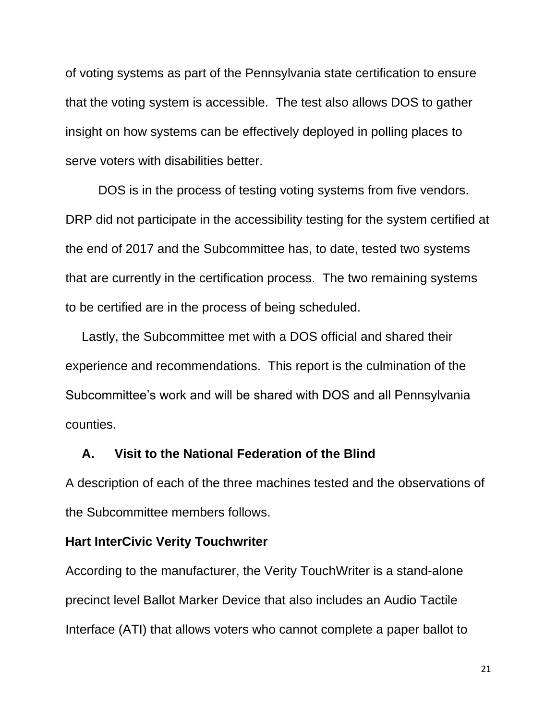of voting systems as part of the Pennsylvania state certification to ensure that the voting system is accessible. The test also allows DOS to gather insight on how systems can be effectively deployed in polling places to serve voters with disabilities better.

DOS is in the process of testing voting systems from five vendors. DRP did not participate in the accessibility testing for the system certified at the end of 2017 and the Subcommittee has, to date, tested two systems that are currently in the certification process. The two remaining systems to be certified are in the process of being scheduled.

Lastly, the Subcommittee met with a DOS official and shared their experience and recommendations. This report is the culmination of the Subcommittee's work and will be shared with DOS and all Pennsylvania counties.

#### **A. Visit to the National Federation of the Blind**

A description of each of the three machines tested and the observations of the Subcommittee members follows.

#### **Hart InterCivic Verity Touchwriter**

According to the manufacturer, the Verity TouchWriter is a stand-alone precinct level Ballot Marker Device that also includes an Audio Tactile Interface (ATI) that allows voters who cannot complete a paper ballot to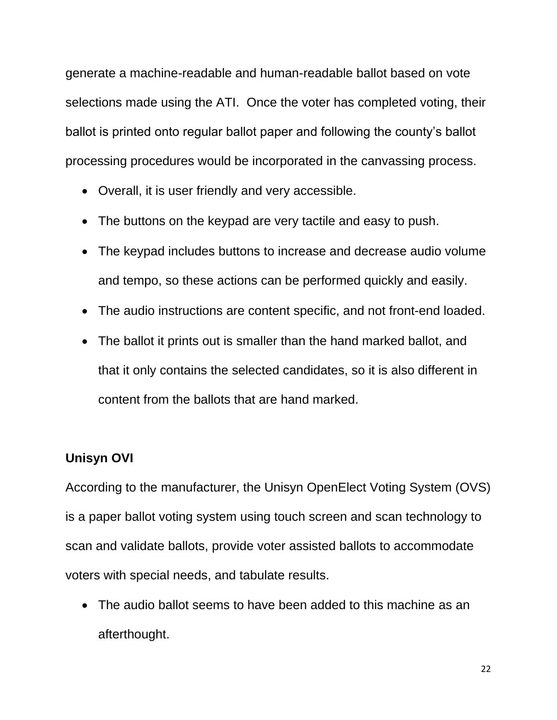generate a machine-readable and human-readable ballot based on vote selections made using the ATI. Once the voter has completed voting, their ballot is printed onto regular ballot paper and following the county's ballot processing procedures would be incorporated in the canvassing process.

- Overall, it is user friendly and very accessible.
- The buttons on the keypad are very tactile and easy to push.
- The keypad includes buttons to increase and decrease audio volume and tempo, so these actions can be performed quickly and easily.
- The audio instructions are content specific, and not front-end loaded.
- The ballot it prints out is smaller than the hand marked ballot, and that it only contains the selected candidates, so it is also different in content from the ballots that are hand marked.

## **Unisyn OVI**

According to the manufacturer, the Unisyn OpenElect Voting System (OVS) is a paper ballot voting system using touch screen and scan technology to scan and validate ballots, provide voter assisted ballots to accommodate voters with special needs, and tabulate results.

• The audio ballot seems to have been added to this machine as an afterthought.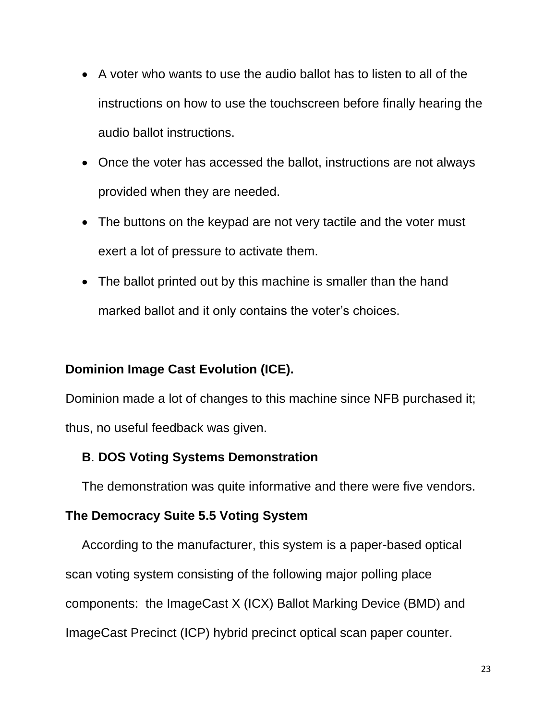- A voter who wants to use the audio ballot has to listen to all of the instructions on how to use the touchscreen before finally hearing the audio ballot instructions.
- Once the voter has accessed the ballot, instructions are not always provided when they are needed.
- The buttons on the keypad are not very tactile and the voter must exert a lot of pressure to activate them.
- The ballot printed out by this machine is smaller than the hand marked ballot and it only contains the voter's choices.

## **Dominion Image Cast Evolution (ICE).**

Dominion made a lot of changes to this machine since NFB purchased it; thus, no useful feedback was given.

## **B**. **DOS Voting Systems Demonstration**

The demonstration was quite informative and there were five vendors.

## **The Democracy Suite 5.5 Voting System**

According to the manufacturer, this system is a paper-based optical scan voting system consisting of the following major polling place components: the ImageCast X (ICX) Ballot Marking Device (BMD) and ImageCast Precinct (ICP) hybrid precinct optical scan paper counter.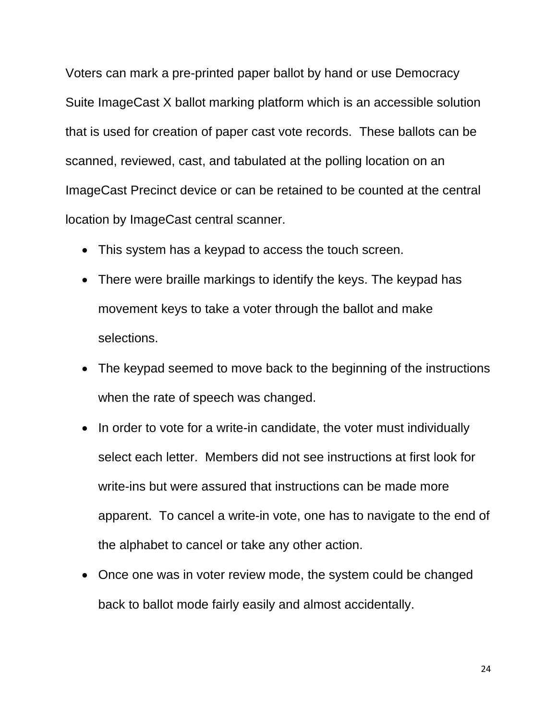Voters can mark a pre-printed paper ballot by hand or use Democracy Suite ImageCast X ballot marking platform which is an accessible solution that is used for creation of paper cast vote records. These ballots can be scanned, reviewed, cast, and tabulated at the polling location on an ImageCast Precinct device or can be retained to be counted at the central location by ImageCast central scanner.

- This system has a keypad to access the touch screen.
- There were braille markings to identify the keys. The keypad has movement keys to take a voter through the ballot and make selections.
- The keypad seemed to move back to the beginning of the instructions when the rate of speech was changed.
- In order to vote for a write-in candidate, the voter must individually select each letter. Members did not see instructions at first look for write-ins but were assured that instructions can be made more apparent. To cancel a write-in vote, one has to navigate to the end of the alphabet to cancel or take any other action.
- Once one was in voter review mode, the system could be changed back to ballot mode fairly easily and almost accidentally.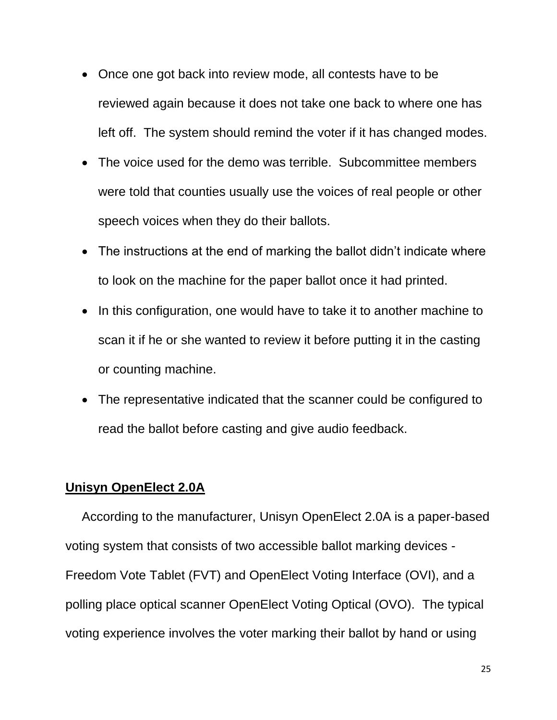- Once one got back into review mode, all contests have to be reviewed again because it does not take one back to where one has left off. The system should remind the voter if it has changed modes.
- The voice used for the demo was terrible. Subcommittee members were told that counties usually use the voices of real people or other speech voices when they do their ballots.
- The instructions at the end of marking the ballot didn't indicate where to look on the machine for the paper ballot once it had printed.
- In this configuration, one would have to take it to another machine to scan it if he or she wanted to review it before putting it in the casting or counting machine.
- The representative indicated that the scanner could be configured to read the ballot before casting and give audio feedback.

## **Unisyn OpenElect 2.0A**

According to the manufacturer, Unisyn OpenElect 2.0A is a paper-based voting system that consists of two accessible ballot marking devices - Freedom Vote Tablet (FVT) and OpenElect Voting Interface (OVI), and a polling place optical scanner OpenElect Voting Optical (OVO). The typical voting experience involves the voter marking their ballot by hand or using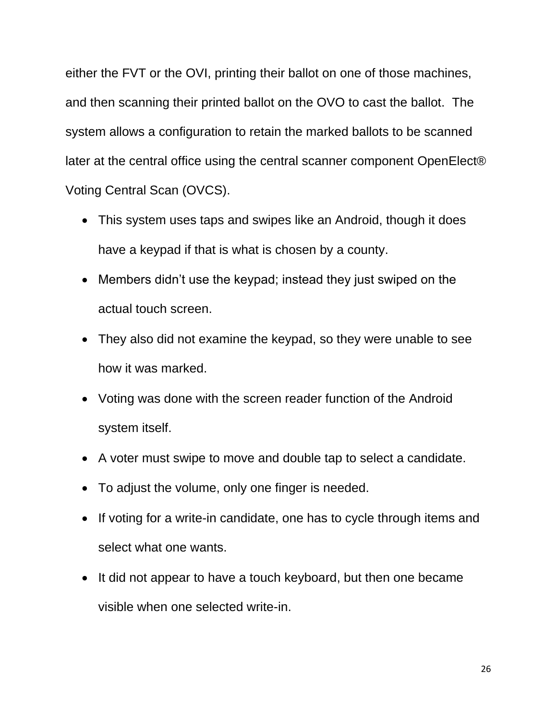either the FVT or the OVI, printing their ballot on one of those machines, and then scanning their printed ballot on the OVO to cast the ballot. The system allows a configuration to retain the marked ballots to be scanned later at the central office using the central scanner component OpenElect® Voting Central Scan (OVCS).

- This system uses taps and swipes like an Android, though it does have a keypad if that is what is chosen by a county.
- Members didn't use the keypad; instead they just swiped on the actual touch screen.
- They also did not examine the keypad, so they were unable to see how it was marked.
- Voting was done with the screen reader function of the Android system itself.
- A voter must swipe to move and double tap to select a candidate.
- To adjust the volume, only one finger is needed.
- If voting for a write-in candidate, one has to cycle through items and select what one wants.
- It did not appear to have a touch keyboard, but then one became visible when one selected write-in.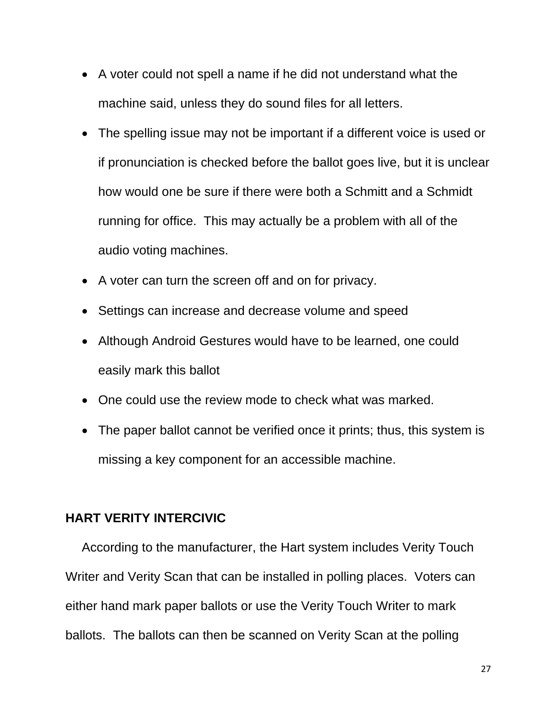- A voter could not spell a name if he did not understand what the machine said, unless they do sound files for all letters.
- The spelling issue may not be important if a different voice is used or if pronunciation is checked before the ballot goes live, but it is unclear how would one be sure if there were both a Schmitt and a Schmidt running for office. This may actually be a problem with all of the audio voting machines.
- A voter can turn the screen off and on for privacy.
- Settings can increase and decrease volume and speed
- Although Android Gestures would have to be learned, one could easily mark this ballot
- One could use the review mode to check what was marked.
- The paper ballot cannot be verified once it prints; thus, this system is missing a key component for an accessible machine.

#### **HART VERITY INTERCIVIC**

According to the manufacturer, the Hart system includes Verity Touch Writer and Verity Scan that can be installed in polling places. Voters can either hand mark paper ballots or use the Verity Touch Writer to mark ballots. The ballots can then be scanned on Verity Scan at the polling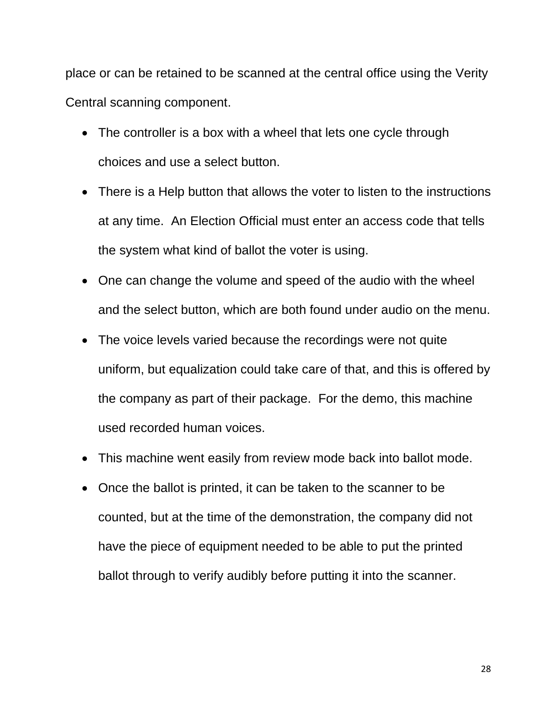place or can be retained to be scanned at the central office using the Verity Central scanning component.

- The controller is a box with a wheel that lets one cycle through choices and use a select button.
- There is a Help button that allows the voter to listen to the instructions at any time. An Election Official must enter an access code that tells the system what kind of ballot the voter is using.
- One can change the volume and speed of the audio with the wheel and the select button, which are both found under audio on the menu.
- The voice levels varied because the recordings were not quite uniform, but equalization could take care of that, and this is offered by the company as part of their package. For the demo, this machine used recorded human voices.
- This machine went easily from review mode back into ballot mode.
- Once the ballot is printed, it can be taken to the scanner to be counted, but at the time of the demonstration, the company did not have the piece of equipment needed to be able to put the printed ballot through to verify audibly before putting it into the scanner.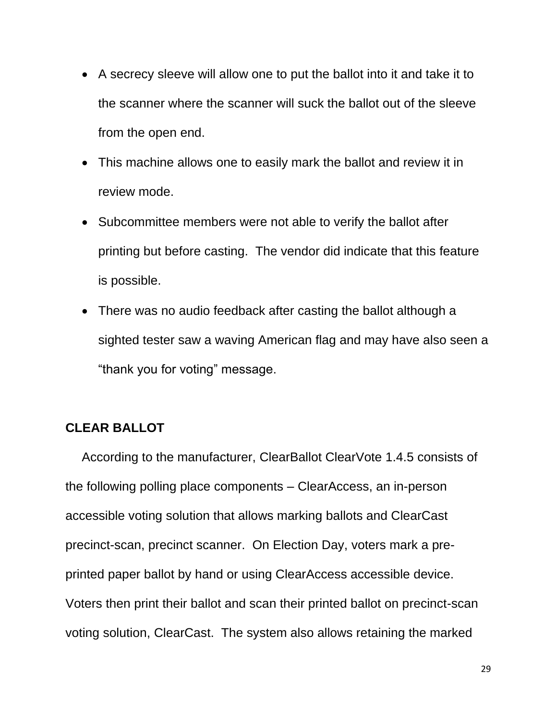- A secrecy sleeve will allow one to put the ballot into it and take it to the scanner where the scanner will suck the ballot out of the sleeve from the open end.
- This machine allows one to easily mark the ballot and review it in review mode.
- Subcommittee members were not able to verify the ballot after printing but before casting. The vendor did indicate that this feature is possible.
- There was no audio feedback after casting the ballot although a sighted tester saw a waving American flag and may have also seen a "thank you for voting" message.

## **CLEAR BALLOT**

According to the manufacturer, ClearBallot ClearVote 1.4.5 consists of the following polling place components – ClearAccess, an in-person accessible voting solution that allows marking ballots and ClearCast precinct-scan, precinct scanner. On Election Day, voters mark a preprinted paper ballot by hand or using ClearAccess accessible device. Voters then print their ballot and scan their printed ballot on precinct-scan voting solution, ClearCast. The system also allows retaining the marked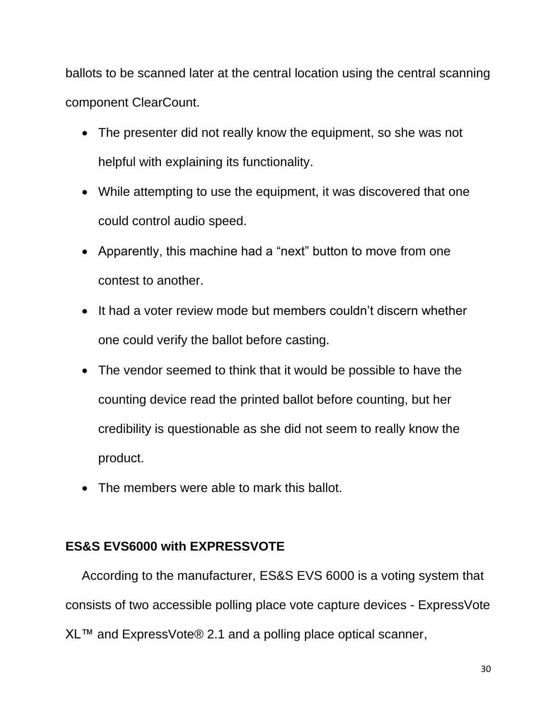ballots to be scanned later at the central location using the central scanning component ClearCount.

- The presenter did not really know the equipment, so she was not helpful with explaining its functionality.
- While attempting to use the equipment, it was discovered that one could control audio speed.
- Apparently, this machine had a "next" button to move from one contest to another.
- It had a voter review mode but members couldn't discern whether one could verify the ballot before casting.
- The vendor seemed to think that it would be possible to have the counting device read the printed ballot before counting, but her credibility is questionable as she did not seem to really know the product.
- The members were able to mark this ballot.

## **ES&S EVS6000 with EXPRESSVOTE**

According to the manufacturer, ES&S EVS 6000 is a voting system that consists of two accessible polling place vote capture devices - ExpressVote XL™ and ExpressVote® 2.1 and a polling place optical scanner,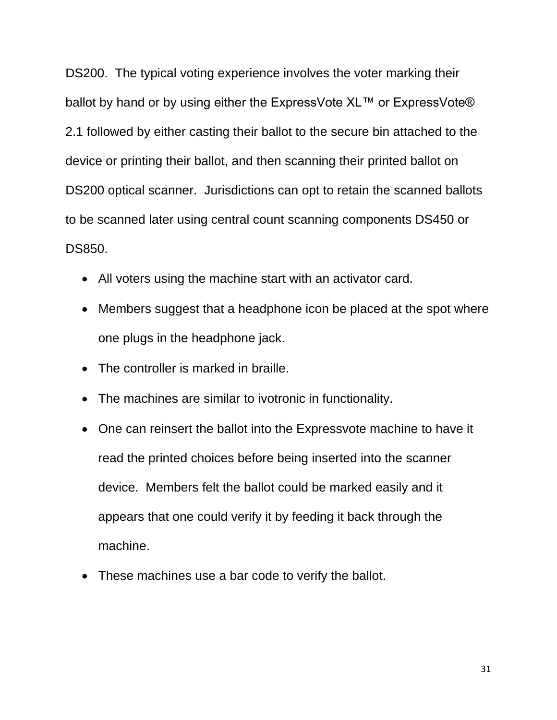DS200. The typical voting experience involves the voter marking their ballot by hand or by using either the ExpressVote XL™ or ExpressVote® 2.1 followed by either casting their ballot to the secure bin attached to the device or printing their ballot, and then scanning their printed ballot on DS200 optical scanner. Jurisdictions can opt to retain the scanned ballots to be scanned later using central count scanning components DS450 or DS850.

- All voters using the machine start with an activator card.
- Members suggest that a headphone icon be placed at the spot where one plugs in the headphone jack.
- The controller is marked in braille.
- The machines are similar to ivotronic in functionality.
- One can reinsert the ballot into the Expressvote machine to have it read the printed choices before being inserted into the scanner device. Members felt the ballot could be marked easily and it appears that one could verify it by feeding it back through the machine.
- These machines use a bar code to verify the ballot.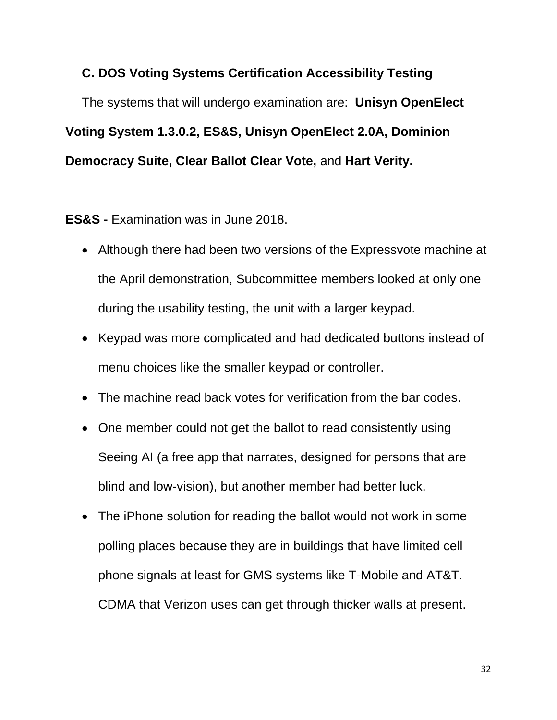## **C. DOS Voting Systems Certification Accessibility Testing**

The systems that will undergo examination are: **Unisyn OpenElect Voting System 1.3.0.2, ES&S, Unisyn OpenElect 2.0A, Dominion Democracy Suite, Clear Ballot Clear Vote,** and **Hart Verity.**

**ES&S -** Examination was in June 2018.

- Although there had been two versions of the Expressvote machine at the April demonstration, Subcommittee members looked at only one during the usability testing, the unit with a larger keypad.
- Keypad was more complicated and had dedicated buttons instead of menu choices like the smaller keypad or controller.
- The machine read back votes for verification from the bar codes.
- One member could not get the ballot to read consistently using Seeing AI (a free app that narrates, designed for persons that are blind and low-vision), but another member had better luck.
- The iPhone solution for reading the ballot would not work in some polling places because they are in buildings that have limited cell phone signals at least for GMS systems like T-Mobile and AT&T. CDMA that Verizon uses can get through thicker walls at present.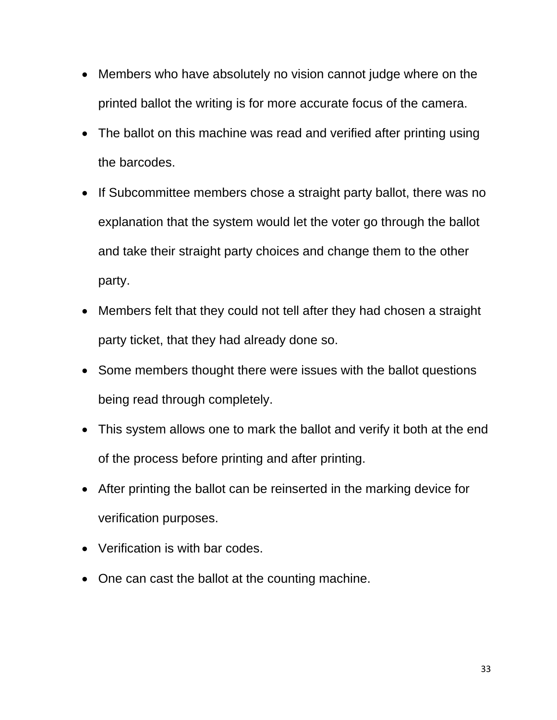- Members who have absolutely no vision cannot judge where on the printed ballot the writing is for more accurate focus of the camera.
- The ballot on this machine was read and verified after printing using the barcodes.
- If Subcommittee members chose a straight party ballot, there was no explanation that the system would let the voter go through the ballot and take their straight party choices and change them to the other party.
- Members felt that they could not tell after they had chosen a straight party ticket, that they had already done so.
- Some members thought there were issues with the ballot questions being read through completely.
- This system allows one to mark the ballot and verify it both at the end of the process before printing and after printing.
- After printing the ballot can be reinserted in the marking device for verification purposes.
- Verification is with bar codes.
- One can cast the ballot at the counting machine.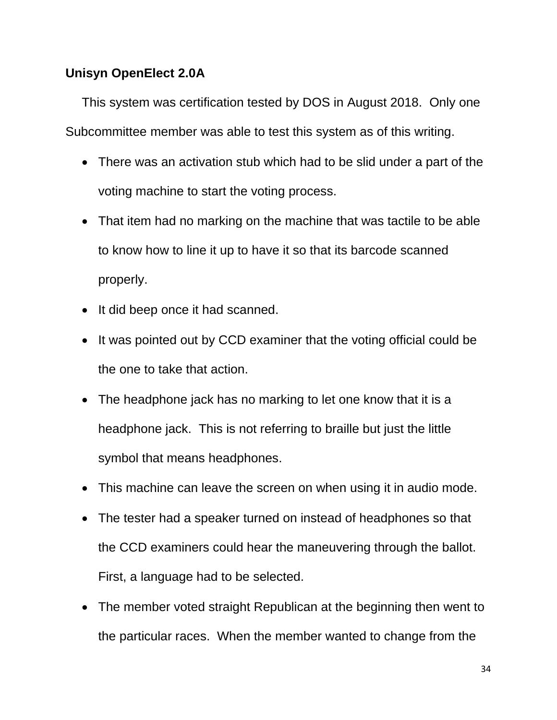## **Unisyn OpenElect 2.0A**

This system was certification tested by DOS in August 2018. Only one Subcommittee member was able to test this system as of this writing.

- There was an activation stub which had to be slid under a part of the voting machine to start the voting process.
- That item had no marking on the machine that was tactile to be able to know how to line it up to have it so that its barcode scanned properly.
- It did beep once it had scanned.
- It was pointed out by CCD examiner that the voting official could be the one to take that action.
- The headphone jack has no marking to let one know that it is a headphone jack. This is not referring to braille but just the little symbol that means headphones.
- This machine can leave the screen on when using it in audio mode.
- The tester had a speaker turned on instead of headphones so that the CCD examiners could hear the maneuvering through the ballot. First, a language had to be selected.
- The member voted straight Republican at the beginning then went to the particular races. When the member wanted to change from the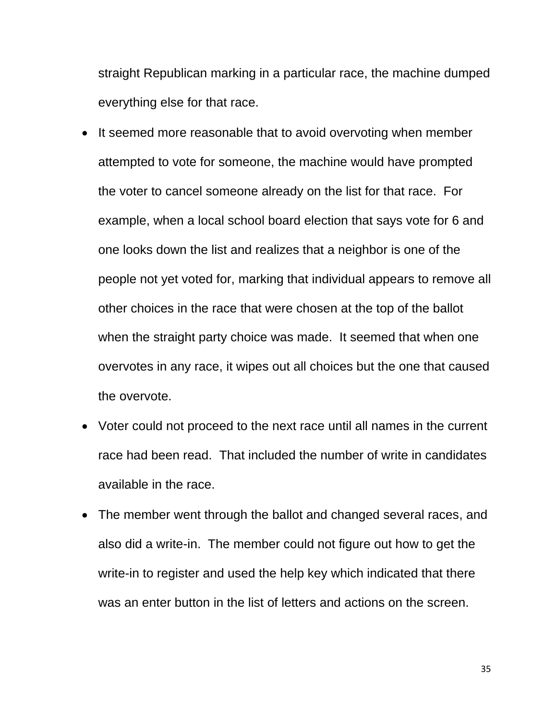straight Republican marking in a particular race, the machine dumped everything else for that race.

- It seemed more reasonable that to avoid overvoting when member attempted to vote for someone, the machine would have prompted the voter to cancel someone already on the list for that race. For example, when a local school board election that says vote for 6 and one looks down the list and realizes that a neighbor is one of the people not yet voted for, marking that individual appears to remove all other choices in the race that were chosen at the top of the ballot when the straight party choice was made. It seemed that when one overvotes in any race, it wipes out all choices but the one that caused the overvote.
- Voter could not proceed to the next race until all names in the current race had been read. That included the number of write in candidates available in the race.
- The member went through the ballot and changed several races, and also did a write-in. The member could not figure out how to get the write-in to register and used the help key which indicated that there was an enter button in the list of letters and actions on the screen.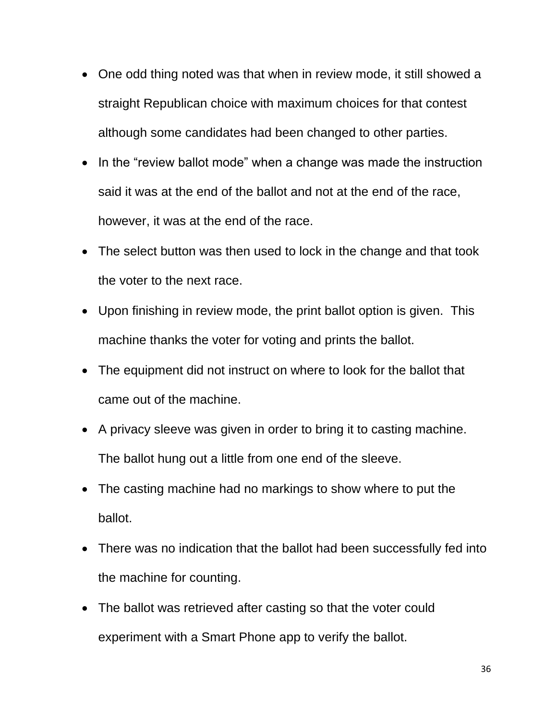- One odd thing noted was that when in review mode, it still showed a straight Republican choice with maximum choices for that contest although some candidates had been changed to other parties.
- In the "review ballot mode" when a change was made the instruction said it was at the end of the ballot and not at the end of the race, however, it was at the end of the race.
- The select button was then used to lock in the change and that took the voter to the next race.
- Upon finishing in review mode, the print ballot option is given. This machine thanks the voter for voting and prints the ballot.
- The equipment did not instruct on where to look for the ballot that came out of the machine.
- A privacy sleeve was given in order to bring it to casting machine. The ballot hung out a little from one end of the sleeve.
- The casting machine had no markings to show where to put the ballot.
- There was no indication that the ballot had been successfully fed into the machine for counting.
- The ballot was retrieved after casting so that the voter could experiment with a Smart Phone app to verify the ballot.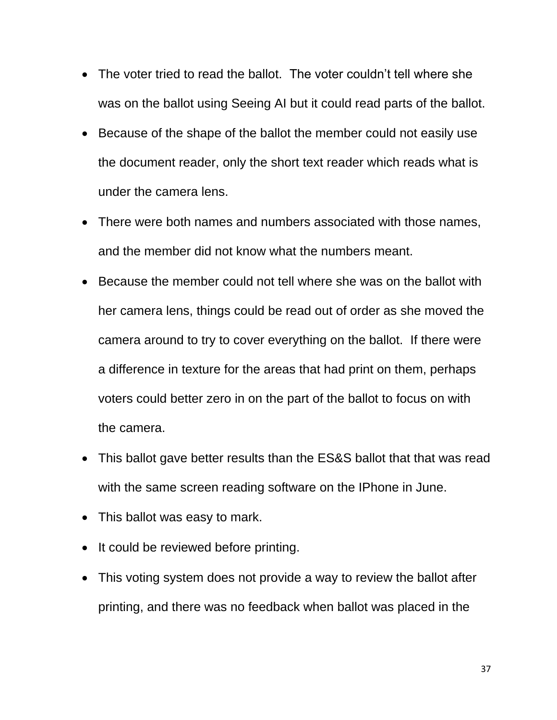- The voter tried to read the ballot. The voter couldn't tell where she was on the ballot using Seeing AI but it could read parts of the ballot.
- Because of the shape of the ballot the member could not easily use the document reader, only the short text reader which reads what is under the camera lens.
- There were both names and numbers associated with those names, and the member did not know what the numbers meant.
- Because the member could not tell where she was on the ballot with her camera lens, things could be read out of order as she moved the camera around to try to cover everything on the ballot. If there were a difference in texture for the areas that had print on them, perhaps voters could better zero in on the part of the ballot to focus on with the camera.
- This ballot gave better results than the ES&S ballot that that was read with the same screen reading software on the IPhone in June.
- This ballot was easy to mark.
- It could be reviewed before printing.
- This voting system does not provide a way to review the ballot after printing, and there was no feedback when ballot was placed in the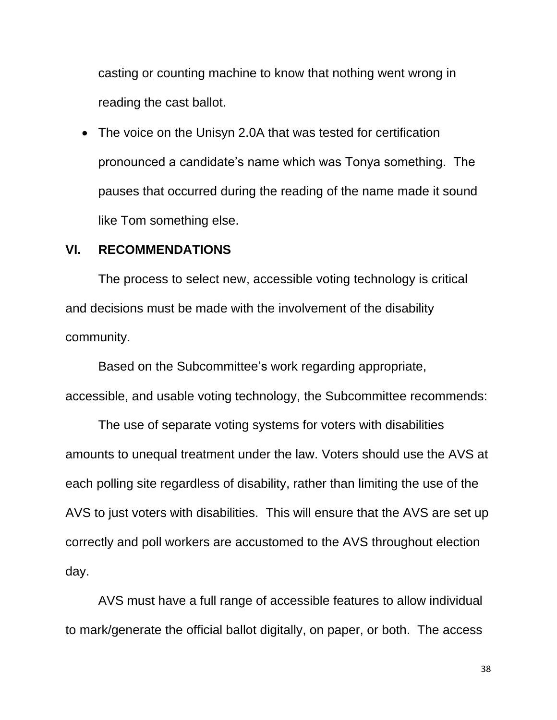casting or counting machine to know that nothing went wrong in reading the cast ballot.

• The voice on the Unisyn 2.0A that was tested for certification pronounced a candidate's name which was Tonya something. The pauses that occurred during the reading of the name made it sound like Tom something else.

#### **VI. RECOMMENDATIONS**

The process to select new, accessible voting technology is critical and decisions must be made with the involvement of the disability community.

Based on the Subcommittee's work regarding appropriate, accessible, and usable voting technology, the Subcommittee recommends:

The use of separate voting systems for voters with disabilities amounts to unequal treatment under the law. Voters should use the AVS at each polling site regardless of disability, rather than limiting the use of the AVS to just voters with disabilities. This will ensure that the AVS are set up correctly and poll workers are accustomed to the AVS throughout election day.

AVS must have a full range of accessible features to allow individual to mark/generate the official ballot digitally, on paper, or both. The access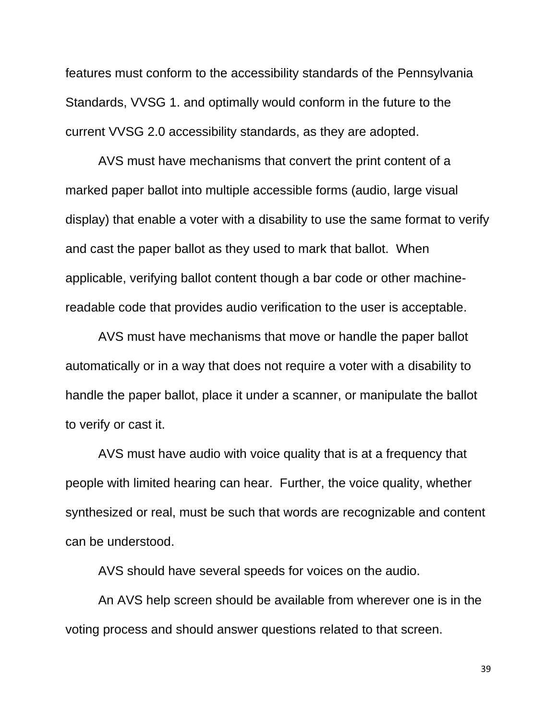features must conform to the accessibility standards of the Pennsylvania Standards, VVSG 1. and optimally would conform in the future to the current VVSG 2.0 accessibility standards, as they are adopted.

AVS must have mechanisms that convert the print content of a marked paper ballot into multiple accessible forms (audio, large visual display) that enable a voter with a disability to use the same format to verify and cast the paper ballot as they used to mark that ballot. When applicable, verifying ballot content though a bar code or other machinereadable code that provides audio verification to the user is acceptable.

AVS must have mechanisms that move or handle the paper ballot automatically or in a way that does not require a voter with a disability to handle the paper ballot, place it under a scanner, or manipulate the ballot to verify or cast it.

AVS must have audio with voice quality that is at a frequency that people with limited hearing can hear. Further, the voice quality, whether synthesized or real, must be such that words are recognizable and content can be understood.

AVS should have several speeds for voices on the audio.

An AVS help screen should be available from wherever one is in the voting process and should answer questions related to that screen.